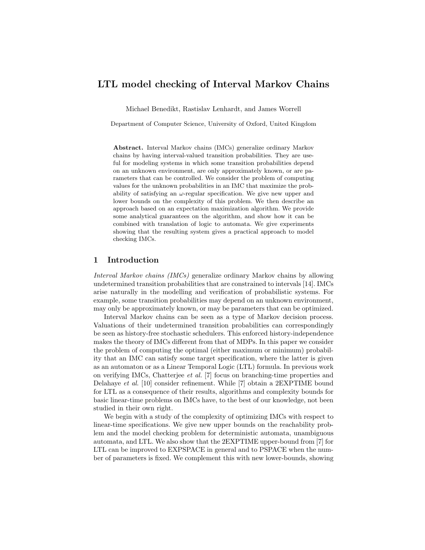# LTL model checking of Interval Markov Chains

Michael Benedikt, Rastislav Lenhardt, and James Worrell

Department of Computer Science, University of Oxford, United Kingdom

Abstract. Interval Markov chains (IMCs) generalize ordinary Markov chains by having interval-valued transition probabilities. They are useful for modeling systems in which some transition probabilities depend on an unknown environment, are only approximately known, or are parameters that can be controlled. We consider the problem of computing values for the unknown probabilities in an IMC that maximize the probability of satisfying an  $\omega$ -regular specification. We give new upper and lower bounds on the complexity of this problem. We then describe an approach based on an expectation maximization algorithm. We provide some analytical guarantees on the algorithm, and show how it can be combined with translation of logic to automata. We give experiments showing that the resulting system gives a practical approach to model checking IMCs.

# 1 Introduction

Interval Markov chains (IMCs) generalize ordinary Markov chains by allowing undetermined transition probabilities that are constrained to intervals [14]. IMCs arise naturally in the modelling and verification of probabilistic systems. For example, some transition probabilities may depend on an unknown environment, may only be approximately known, or may be parameters that can be optimized.

Interval Markov chains can be seen as a type of Markov decision process. Valuations of their undetermined transition probabilities can correspondingly be seen as history-free stochastic schedulers. This enforced history-independence makes the theory of IMCs different from that of MDPs. In this paper we consider the problem of computing the optimal (either maximum or minimum) probability that an IMC can satisfy some target specification, where the latter is given as an automaton or as a Linear Temporal Logic (LTL) formula. In previous work on verifying IMCs, Chatterjee et al. [7] focus on branching-time properties and Delahaye et al. [10] consider refinement. While [7] obtain a 2EXPTIME bound for LTL as a consequence of their results, algorithms and complexity bounds for basic linear-time problems on IMCs have, to the best of our knowledge, not been studied in their own right.

We begin with a study of the complexity of optimizing IMCs with respect to linear-time specifications. We give new upper bounds on the reachability problem and the model checking problem for deterministic automata, unambiguous automata, and LTL. We also show that the 2EXPTIME upper-bound from [7] for LTL can be improved to EXPSPACE in general and to PSPACE when the number of parameters is fixed. We complement this with new lower-bounds, showing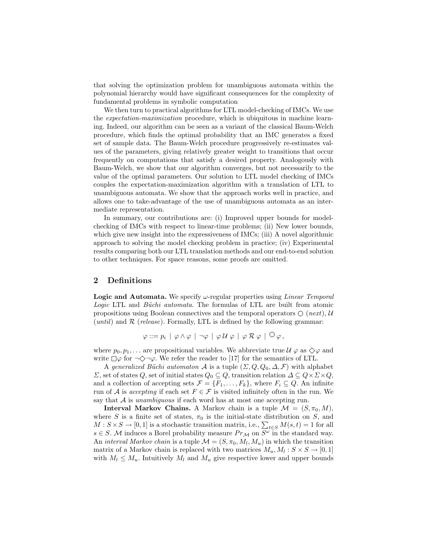that solving the optimization problem for unambiguous automata within the polynomial hierarchy would have significant consequences for the complexity of fundamental problems in symbolic computation

We then turn to practical algorithms for LTL model-checking of IMCs. We use the expectation-maximization procedure, which is ubiquitous in machine learning. Indeed, our algorithm can be seen as a variant of the classical Baum-Welch procedure, which finds the optimal probability that an IMC generates a fixed set of sample data. The Baum-Welch procedure progressively re-estimates values of the parameters, giving relatively greater weight to transitions that occur frequently on computations that satisfy a desired property. Analogously with Baum-Welch, we show that our algorithm converges, but not necessarily to the value of the optimal parameters. Our solution to LTL model checking of IMCs couples the expectation-maximization algorithm with a translation of LTL to unambiguous automata. We show that the approach works well in practice, and allows one to take-advantage of the use of unambiguous automata as an intermediate representation.

In summary, our contributions are: (i) Improved upper bounds for modelchecking of IMCs with respect to linear-time problems; (ii) New lower bounds, which give new insight into the expressiveness of IMCs; (iii) A novel algorithmic approach to solving the model checking problem in practice; (iv) Experimental results comparing both our LTL translation methods and our end-to-end solution to other techniques. For space reasons, some proofs are omitted.

### 2 Definitions

**Logic and Automata.** We specify  $\omega$ -regular properties using *Linear Temporal* Logic LTL and Büchi automata. The formulas of LTL are built from atomic propositions using Boolean connectives and the temporal operators  $\bigcirc$  (*next*), U (*until*) and  $\mathcal R$  (*release*). Formally, LTL is defined by the following grammar:

$$
\varphi ::= p_i \mid \varphi \land \varphi \mid \neg \varphi \mid \varphi \mathcal{U} \varphi \mid \varphi \mathcal{R} \varphi \mid \Theta \varphi,
$$

where  $p_0, p_1, \ldots$  are propositional variables. We abbreviate true  $\mathcal{U} \varphi$  as  $\Diamond \varphi$  and write  $\Box \varphi$  for  $\neg \Diamond \neg \varphi$ . We refer the reader to [17] for the semantics of LTL.

A generalized Büchi automaton A is a tuple  $(\Sigma, Q, Q_0, \Delta, \mathcal{F})$  with alphabet  $\Sigma$ , set of states Q, set of initial states  $Q_0 \subseteq Q$ , transition relation  $\Delta \subseteq Q \times \Sigma \times Q$ , and a collection of accepting sets  $\mathcal{F} = \{F_1, \ldots, F_k\}$ , where  $F_i \subseteq Q$ . An infinite run of A is accepting if each set  $F \in \mathcal{F}$  is visited infinitely often in the run. We say that  $A$  is *unambiguous* if each word has at most one accepting run.

**Interval Markov Chains.** A Markov chain is a tuple  $\mathcal{M} = (S, \pi_0, M)$ , where S is a finite set of states,  $\pi_0$  is the initial-state distribution on S, and  $M: S \times S \to [0, 1]$  is a stochastic transition matrix, i.e.,  $\sum_{t \in S} M(s, t) = 1$  for all  $s \in S$ . M induces a Borel probability measure  $Pr_{\mathcal{M}}$  on  $S^{\omega}$  in the standard way. An *interval Markov chain* is a tuple  $\mathcal{M} = (S, \pi_0, M_l, M_u)$  in which the transition matrix of a Markov chain is replaced with two matrices  $M_u, M_l: S \times S \rightarrow [0, 1]$ with  $M_l \leq M_u$ . Intuitively  $M_l$  and  $M_u$  give respective lower and upper bounds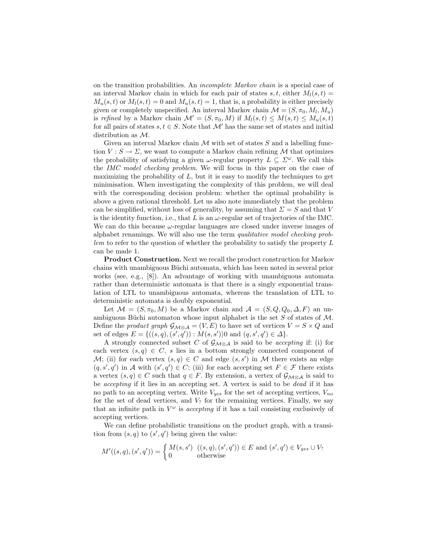on the transition probabilities. An incomplete Markov chain is a special case of an interval Markov chain in which for each pair of states s, t, either  $M_l(s,t)$  $M_u(s,t)$  or  $M_l(s,t) = 0$  and  $M_u(s,t) = 1$ , that is, a probability is either precisely given or completely unspecified. An interval Markov chain  $\mathcal{M} = (S, \pi_0, M_l, M_u)$ is refined by a Markov chain  $\mathcal{M}' = (S, \pi_0, M)$  if  $M_l(s, t) \leq M(s, t) \leq M_u(s, t)$ for all pairs of states  $s, t \in S$ . Note that  $\mathcal{M}'$  has the same set of states and initial distribution as M.

Given an interval Markov chain  $\mathcal M$  with set of states S and a labelling function  $V : S \to \Sigma$ , we want to compute a Markov chain refining M that optimizes the probability of satisfying a given  $\omega$ -regular property  $L \subseteq \Sigma^{\omega}$ . We call this the IMC model checking problem. We will focus in this paper on the case of maximizing the probability of  $L$ , but it is easy to modify the techniques to get minimisation. When investigating the complexity of this problem, we will deal with the corresponding decision problem: whether the optimal probability is above a given rational threshold. Let us also note immediately that the problem can be simplified, without loss of generality, by assuming that  $\Sigma = S$  and that V is the identity function, i.e., that L is an  $\omega$ -regular set of trajectories of the IMC. We can do this because  $\omega$ -regular languages are closed under inverse images of alphabet renamings. We will also use the term qualitative model checking problem to refer to the question of whether the probability to satisfy the property L can be made 1.

Product Construction. Next we recall the product construction for Markov chains with unambiguous Büchi automata, which has been noted in several prior works (see, e.g., [8]). An advantage of working with unambiguous automata rather than deterministic automata is that there is a singly exponential translation of LTL to unambiguous automata, whereas the translation of LTL to deterministic automata is doubly exponential.

Let  $\mathcal{M} = (S, \pi_0, M)$  be a Markov chain and  $\mathcal{A} = (S, Q, Q_0, \Delta, F)$  an unambiguous Büchi automaton whose input alphabet is the set  $S$  of states of  $M$ . Define the product graph  $\mathcal{G}_{\mathcal{M}\otimes\mathcal{A}} = (V, E)$  to have set of vertices  $V = S \times Q$  and set of edges  $E = \{((s, q), (s', q')) : M(s, s')\}$  and  $(q, s', q') \in \Delta\}.$ 

A strongly connected subset C of  $\mathcal{G}_{\mathcal{M}\otimes\mathcal{A}}$  is said to be *accepting* if: (i) for each vertex  $(s, q) \in C$ , s lies in a bottom strongly connected component of M; (ii) for each vertex  $(s, q) \in C$  and edge  $(s, s')$  in M there exists an edge  $(q, s', q')$  in A with  $(s', q') \in C$ ; (iii) for each accepting set  $F \in \mathcal{F}$  there exists a vertex  $(s, q) \in C$  such that  $q \in F$ . By extension, a vertex of  $\mathcal{G}_{\mathcal{M}\otimes\mathcal{A}}$  is said to be accepting if it lies in an accepting set. A vertex is said to be dead if it has no path to an accepting vertex. Write  $V_{yes}$  for the set of accepting vertices,  $V_{no}$ for the set of dead vertices, and  $V_?$  for the remaining vertices. Finally, we say that an infinite path in  $V^{\omega}$  is *accepting* if it has a tail consisting exclusively of accepting vertices.

We can define probabilistic transitions on the product graph, with a transition from  $(s, q)$  to  $(s', q')$  being given the value:

$$
M'((s,q),(s',q')) = \begin{cases} M(s,s') & ((s,q),(s',q')) \in E \text{ and } (s',q') \in V_{yes} \cup V_?
$$
  
 0 otherwise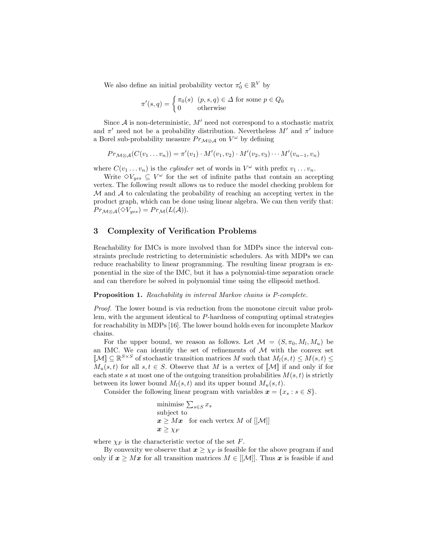We also define an initial probability vector  $\pi'_0 \in \mathbb{R}^V$  by

$$
\pi'(s, q) = \begin{cases} \pi_0(s) & (p, s, q) \in \Delta \text{ for some } p \in Q_0 \\ 0 & \text{otherwise} \end{cases}
$$

Since  $A$  is non-deterministic,  $M'$  need not correspond to a stochastic matrix and  $\pi'$  need not be a probability distribution. Nevertheless  $M'$  and  $\pi'$  induce a Borel sub-probability measure  $Pr_{\mathcal{M} \otimes \mathcal{A}}$  on  $V^{\omega}$  by defining

$$
Pr_{\mathcal{M} \otimes \mathcal{A}}(C(v_1 \ldots v_n)) = \pi'(v_1) \cdot M'(v_1, v_2) \cdot M'(v_2, v_3) \cdots M'(v_{n-1}, v_n)
$$

where  $C(v_1 \ldots v_n)$  is the *cylinder* set of words in  $V^{\omega}$  with prefix  $v_1 \ldots v_n$ .

Write  $\Diamond V_{yes} \subseteq V^{\omega}$  for the set of infinite paths that contain an accepting vertex. The following result allows us to reduce the model checking problem for  $\mathcal M$  and  $\mathcal A$  to calculating the probability of reaching an accepting vertex in the product graph, which can be done using linear algebra. We can then verify that:  $Pr_{\mathcal{M} \otimes \mathcal{A}}(\Diamond V_{yes}) = Pr_{\mathcal{M}}(L(\mathcal{A})).$ 

## 3 Complexity of Verification Problems

Reachability for IMCs is more involved than for MDPs since the interval constraints preclude restricting to deterministic schedulers. As with MDPs we can reduce reachability to linear programming. The resulting linear program is exponential in the size of the IMC, but it has a polynomial-time separation oracle and can therefore be solved in polynomial time using the ellipsoid method.

Proposition 1. Reachability in interval Markov chains is P-complete.

Proof. The lower bound is via reduction from the monotone circuit value problem, with the argument identical to P-hardness of computing optimal strategies for reachability in MDPs [16]. The lower bound holds even for incomplete Markov chains.

For the upper bound, we reason as follows. Let  $\mathcal{M} = (S, \pi_0, M_l, M_u)$  be an IMC. We can identify the set of refinements of  $M$  with the convex set  $\llbracket \mathcal{M} \rrbracket \subseteq \mathbb{R}^{S \times S}$  of stochastic transition matrices M such that  $M_l(s, t) \leq M(s, t) \leq$  $M_u(s,t)$  for all  $s,t \in S$ . Observe that M is a vertex of  $\llbracket \mathcal{M} \rrbracket$  if and only if for each state s at most one of the outgoing transition probabilities  $M(s, t)$  is strictly between its lower bound  $M_l(s, t)$  and its upper bound  $M_u(s, t)$ .

Consider the following linear program with variables  $x = \{x_s : s \in S\}.$ 

minimise 
$$
\sum_{s \in S} x_s
$$
  
subject to  
 $\boldsymbol{x} \geq M\boldsymbol{x}$  for each vertex M of [[M]]  
 $\boldsymbol{x} \geq \chi_F$ 

where  $\chi_F$  is the characteristic vector of the set F.

By convexity we observe that  $x \geq \chi_F$  is feasible for the above program if and only if  $x \geq Mx$  for all transition matrices  $M \in [[\mathcal{M}]]$ . Thus x is feasible if and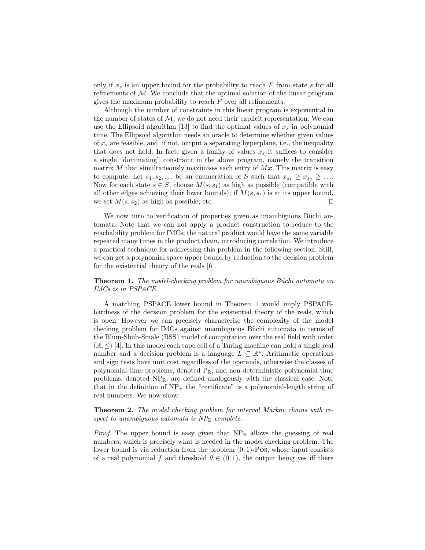only if  $x_s$  is an upper bound for the probability to reach  $F$  from state  $s$  for all refinements of M. We conclude that the optimal solution of the linear program gives the maximum probability to reach  $F$  over all refinements.

Although the number of constraints in this linear program is exponential in the number of states of  $M$ , we do not need their explicit representation. We can use the Ellipsoid algorithm [13] to find the optimal values of  $x_s$  in polynomial time. The Ellipsoid algorithm needs an oracle to determine whether given values of  $x_s$  are feasible, and, if not, output a separating hyperplane, i.e., the inequality that does not hold. In fact, given a family of values  $x<sub>s</sub>$  it suffices to consider a single "dominating" constraint in the above program, namely the transition matrix  $M$  that simultaneously maximises each entry of  $M\mathbf{x}$ . This matrix is easy to compute: Let  $s_1, s_2, \ldots$  be an enumeration of S such that  $x_{s_1} \ge x_{s_2} \ge \ldots$ Now for each state  $s \in S$ , choose  $M(s, s_1)$  as high as possible (compatible with all other edges achieving their lower bounds); if  $M(s, s_1)$  is at its upper bound, we set  $M(s, s_2)$  as high as possible, etc.

We now turn to verification of properties given as unambiguous Büchi automata. Note that we can not apply a product construction to reduce to the reachability problem for IMCs; the natural product would have the same variable repeated many times in the product chain, introducing correlation. We introduce a practical technique for addressing this problem in the following section. Still, we can get a polynomial space upper bound by reduction to the decision problem for the existential theory of the reals [6].

Theorem 1. The model-checking problem for unambiguous Büchi automata on IMCs is in PSPACE.

A matching PSPACE lower bound in Theorem 1 would imply PSPACEhardness of the decision problem for the existential theory of the reals, which is open. However we can precisely characterise the complexity of the model checking problem for IMCs against unambiguous Büchi automata in terms of the Blum-Shub-Smale (BSS) model of computation over the real field with order  $(\mathbb{R}, \leq)$  [4]. In this model each tape cell of a Turing machine can hold a single real number and a decision problem is a language  $L \subseteq \mathbb{R}^*$ . Arithmetic operations and sign tests have unit cost regardless of the operands, otherwise the classes of polynomial-time problems, denoted  $P_{\mathbb{R}}$ , and non-deterministic polynomial-time problems, denoted  $NP_{\mathbb{R}}$ , are defined analogously with the classical case. Note that in the definition of  $NP_{\mathbb{R}}$  the "certificate" is a polynomial-length string of real numbers. We now show:

### Theorem 2. The model checking problem for interval Markov chains with respect to unambiguous automata is  $NP_{\mathbb{R}}$ -complete.

*Proof.* The upper bound is easy given that  $NP_{\mathbb{R}}$  allows the guessing of real numbers, which is precisely what is needed in the model checking problem. The lower bound is via reduction from the problem  $(0, 1)$ -Pos, whose input consists of a real polynomial f and threshold  $\theta \in (0,1)$ , the output being yes iff there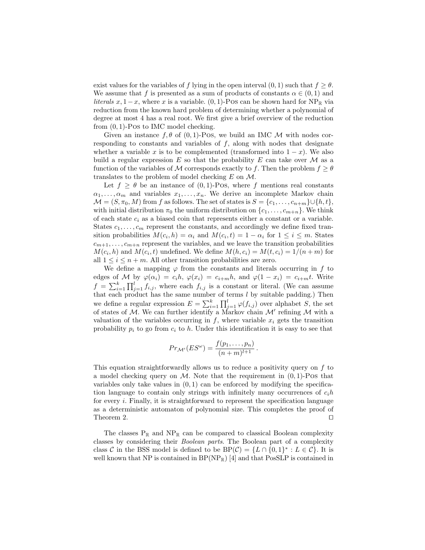exist values for the variables of f lying in the open interval  $(0, 1)$  such that  $f \geq \theta$ . We assume that f is presented as a sum of products of constants  $\alpha \in (0,1)$  and *literals*  $x$ , 1 − x, where x is a variable. (0, 1)-Pos can be shown hard for NP<sub>R</sub> via reduction from the known hard problem of determining whether a polynomial of degree at most 4 has a real root. We first give a brief overview of the reduction from (0, 1)-Pos to IMC model checking.

Given an instance  $f, \theta$  of  $(0, 1)$ -Pos, we build an IMC M with nodes corresponding to constants and variables of  $f$ , along with nodes that designate whether a variable x is to be complemented (transformed into  $1 - x$ ). We also build a regular expression  $E$  so that the probability  $E$  can take over  $\mathcal M$  as a function of the variables of M corresponds exactly to f. Then the problem  $f \geq \theta$ translates to the problem of model checking  $E$  on  $\mathcal{M}$ .

Let  $f \geq \theta$  be an instance of  $(0, 1)$ -Pos, where f mentions real constants  $\alpha_1, \ldots, \alpha_m$  and variables  $x_1, \ldots, x_n$ . We derive an incomplete Markov chain  $\mathcal{M} = (S, \pi_0, M)$  from f as follows. The set of states is  $S = \{c_1, \ldots, c_{n+m}\} \cup \{h, t\},$ with initial distribution  $\pi_0$  the uniform distribution on  $\{c_1, \ldots, c_{m+n}\}$ . We think of each state  $c_i$  as a biased coin that represents either a constant or a variable. States  $c_1, \ldots, c_m$  represent the constants, and accordingly we define fixed transition probabilities  $M(c_i, h) = \alpha_i$  and  $M(c_i, t) = 1 - \alpha_i$  for  $1 \le i \le m$ . States  $c_{m+1}, \ldots, c_{m+n}$  represent the variables, and we leave the transition probabilities  $M(c_i, h)$  and  $M(c_i, t)$  undefined. We define  $M(h, c_i) = M(t, c_i) = 1/(n+m)$  for all  $1 \leq i \leq n+m$ . All other transition probabilities are zero.

We define a mapping  $\varphi$  from the constants and literals occurring in f to edges of M by  $\varphi(\alpha_i) = c_i h, \varphi(x_i) = c_{i+m} h$ , and  $\varphi(1-x_i) = c_{i+m} t$ . Write  $f = \sum_{i=1}^{k} \prod_{j=1}^{l} f_{i,j}$ , where each  $f_{i,j}$  is a constant or literal. (We can assume that each product has the same number of terms  $l$  by suitable padding.) Then we define a regular expression  $E = \sum_{i=1}^{k} \prod_{j=1}^{l} \varphi(f_{i,j})$  over alphabet S, the set of states of M. We can further identify a Markov chain  $\mathcal{M}'$  refining M with a valuation of the variables occurring in  $f$ , where variable  $x_i$  gets the transition probability  $p_i$  to go from  $c_i$  to h. Under this identification it is easy to see that

$$
Pr_{\mathcal{M}'}(ES^{\omega}) = \frac{f(p_1, \ldots, p_n)}{(n+m)^{l+1}}.
$$

This equation straightforwardly allows us to reduce a positivity query on f to a model checking query on  $\mathcal M$ . Note that the requirement in  $(0, 1)$ -Pos that variables only take values in  $(0, 1)$  can be enforced by modifying the specification language to contain only strings with infinitely many occurrences of  $c<sub>i</sub>h$ for every i. Finally, it is straightforward to represent the specification language as a deterministic automaton of polynomial size. This completes the proof of Theorem 2.  $\Box$ 

The classes  $P_{\mathbb{R}}$  and  $NP_{\mathbb{R}}$  can be compared to classical Boolean complexity classes by considering their Boolean parts. The Boolean part of a complexity class C in the BSS model is defined to be  $BP(\mathcal{C}) = \{L \cap \{0,1\}^* : L \in \mathcal{C}\}\)$ . It is well known that NP is contained in  $BP(NP_R)$  [4] and that PosSLP is contained in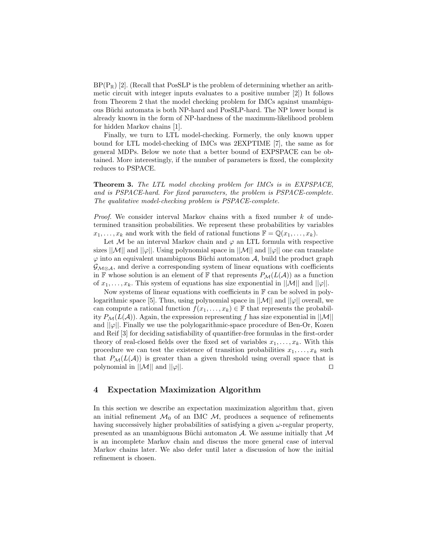$BP(P_{\mathbb{R}})$  [2]. (Recall that PosSLP is the problem of determining whether an arithmetic circuit with integer inputs evaluates to a positive number [2]) It follows from Theorem 2 that the model checking problem for IMCs against unambiguous Büchi automata is both NP-hard and PosSLP-hard. The NP lower bound is already known in the form of NP-hardness of the maximum-likelihood problem for hidden Markov chains [1].

Finally, we turn to LTL model-checking. Formerly, the only known upper bound for LTL model-checking of IMCs was 2EXPTIME [7], the same as for general MDPs. Below we note that a better bound of EXPSPACE can be obtained. More interestingly, if the number of parameters is fixed, the complexity reduces to PSPACE.

Theorem 3. The LTL model checking problem for IMCs is in EXPSPACE, and is PSPACE-hard. For fixed parameters, the problem is PSPACE-complete. The qualitative model-checking problem is PSPACE-complete.

*Proof.* We consider interval Markov chains with a fixed number  $k$  of undetermined transition probabilities. We represent these probabilities by variables  $x_1, \ldots, x_k$  and work with the field of rational functions  $\mathbb{F} = \mathbb{Q}(x_1, \ldots, x_k)$ .

Let M be an interval Markov chain and  $\varphi$  an LTL formula with respective sizes  $||\mathcal{M}||$  and  $||\varphi||$ . Using polynomial space in  $||\mathcal{M}||$  and  $||\varphi||$  one can translate  $\varphi$  into an equivalent unambiguous Büchi automaton A, build the product graph  $\mathcal{G}_{\mathcal{M}\otimes\mathcal{A}}$ , and derive a corresponding system of linear equations with coefficients in F whose solution is an element of F that represents  $P_{\mathcal{M}}(L(\mathcal{A}))$  as a function of  $x_1, \ldots, x_k$ . This system of equations has size exponential in  $||\mathcal{M}||$  and  $||\varphi||$ .

Now systems of linear equations with coefficients in  $\mathbb F$  can be solved in polylogarithmic space [5]. Thus, using polynomial space in  $||\mathcal{M}||$  and  $||\varphi||$  overall, we can compute a rational function  $f(x_1, \ldots, x_k) \in \mathbb{F}$  that represents the probability  $P_{\mathcal{M}}(L(\mathcal{A}))$ . Again, the expression representing f has size exponential in  $||\mathcal{M}||$ and  $||\varphi||$ . Finally we use the polylogarithmic-space procedure of Ben-Or, Kozen and Reif [3] for deciding satisfiability of quantifier-free formulas in the first-order theory of real-closed fields over the fixed set of variables  $x_1, \ldots, x_k$ . With this procedure we can test the existence of transition probabilities  $x_1, \ldots, x_k$  such that  $P_{\mathcal{M}}(L(\mathcal{A}))$  is greater than a given threshold using overall space that is polynomial in  $||\mathcal{M}||$  and  $||\varphi||$ .

### 4 Expectation Maximization Algorithm

In this section we describe an expectation maximization algorithm that, given an initial refinement  $\mathcal{M}_0$  of an IMC  $\mathcal{M}_1$ , produces a sequence of refinements having successively higher probabilities of satisfying a given  $\omega$ -regular property, presented as an unambiguous Büchi automaton  $A$ . We assume initially that  $M$ is an incomplete Markov chain and discuss the more general case of interval Markov chains later. We also defer until later a discussion of how the initial refinement is chosen.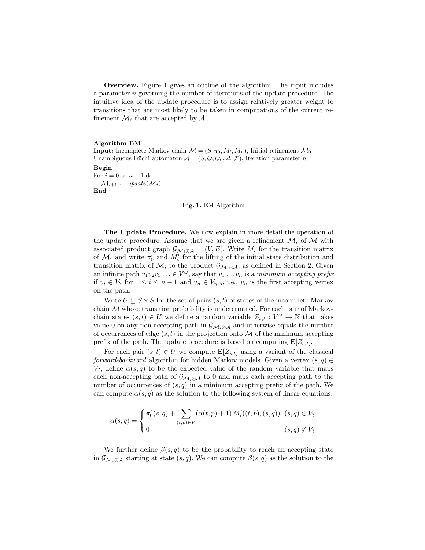Overview. Figure 1 gives an outline of the algorithm. The input includes a parameter n governing the number of iterations of the update procedure. The intuitive idea of the update procedure is to assign relatively greater weight to transitions that are most likely to be taken in computations of the current refinement  $\mathcal{M}_i$  that are accepted by  $\mathcal{A}$ .

#### Algorithm EM

**Input:** Incomplete Markov chain  $\mathcal{M} = (S, \pi_0, M_l, M_u)$ , Initial refinement  $\mathcal{M}_0$ Unambiguous Büchi automaton  $A = (S, Q, Q_0, \Delta, \mathcal{F})$ , Iteration parameter n

#### Begin

For  $i = 0$  to  $n - 1$  do  $\mathcal{M}_{i+1} := update(\mathcal{M}_i)$ End

#### Fig. 1. EM Algorithm

The Update Procedure. We now explain in more detail the operation of the update procedure. Assume that we are given a refinement  $\mathcal{M}_i$  of  $\mathcal M$  with associated product graph  $\mathcal{G}_{\mathcal{M}_i\otimes\mathcal{A}} = (V, E)$ . Write  $M_i$  for the transition matrix of  $\mathcal{M}_i$  and write  $\pi'_0$  and  $M'_i$  for the lifting of the initial state distribution and transition matrix of  $\mathcal{M}_i$  to the product  $\mathcal{G}_{\mathcal{M}_i\otimes\mathcal{A}}$ , as defined in Section 2. Given an infinite path  $v_1v_2v_3 \ldots \in V^{\omega}$ , say that  $v_1 \ldots v_n$  is a minimum accepting prefix if  $v_i \in V_?$  for  $1 \leq i \leq n-1$  and  $v_n \in V_{yes}$ , i.e.,  $v_n$  is the first accepting vertex on the path.

Write  $U \subseteq S \times S$  for the set of pairs  $(s, t)$  of states of the incomplete Markov chain  $M$  whose transition probability is undetermined. For each pair of Markovchain states  $(s,t) \in U$  we define a random variable  $Z_{s,t} : V^{\omega} \to \mathbb{N}$  that takes value 0 on any non-accepting path in  $\mathcal{G}_{\mathcal{M}_i\otimes\mathcal{A}}$  and otherwise equals the number of occurrences of edge  $(s, t)$  in the projection onto M of the minimum accepting prefix of the path. The update procedure is based on computing  $E[Z_{s,t}]$ .

For each pair  $(s, t) \in U$  we compute  $\mathbf{E}[Z_{s,t}]$  using a variant of the classical forward-backward algorithm for hidden Markov models. Given a vertex  $(s, q) \in$  $V_?$ , define  $\alpha(s,q)$  to be the expected value of the random variable that maps each non-accepting path of  $\mathcal{G}_{\mathcal{M}_i\otimes\mathcal{A}}$  to 0 and maps each accepting path to the number of occurrences of  $(s, q)$  in a minimum accepting prefix of the path. We can compute  $\alpha(s, q)$  as the solution to the following system of linear equations:

$$
\alpha(s,q) = \begin{cases} \pi'_0(s,q) + \sum_{(t,p)\in V} (\alpha(t,p) + 1) M'_i((t,p),(s,q)) & (s,q) \in V_? \\ 0 & (s,q) \notin V_? \end{cases}
$$

We further define  $\beta(s,q)$  to be the probability to reach an accepting state in  $\mathcal{G}_{\mathcal{M}_i\otimes\mathcal{A}}$  starting at state  $(s, q)$ . We can compute  $\beta(s, q)$  as the solution to the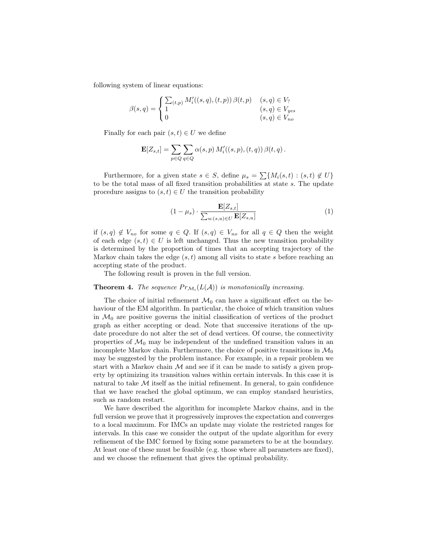following system of linear equations:

$$
\beta(s,q) = \begin{cases} \sum_{(t,p)} M'_i((s,q),(t,p)) \beta(t,p) & (s,q) \in V_? \\ 1 & (s,q) \in V_{yes} \\ 0 & (s,q) \in V_{no} \end{cases}
$$

Finally for each pair  $(s, t) \in U$  we define

$$
\mathbf{E}[Z_{s,t}] = \sum_{p \in Q} \sum_{q \in Q} \alpha(s,p) M'_i((s,p),(t,q)) \beta(t,q).
$$

Furthermore, for a given state  $s \in S$ , define  $\mu_s = \sum \{M_i(s,t) : (s,t) \notin U\}$ to be the total mass of all fixed transition probabilities at state s. The update procedure assigns to  $(s, t) \in U$  the transition probability

$$
(1 - \mu_s) \cdot \frac{\mathbf{E}[Z_{s,t}]}{\sum_{u:(s,u)\in U} \mathbf{E}[Z_{s,u}]} \tag{1}
$$

if  $(s, q) \notin V_{no}$  for some  $q \in Q$ . If  $(s, q) \in V_{no}$  for all  $q \in Q$  then the weight of each edge  $(s, t) \in U$  is left unchanged. Thus the new transition probability is determined by the proportion of times that an accepting trajectory of the Markov chain takes the edge  $(s, t)$  among all visits to state s before reaching an accepting state of the product.

The following result is proven in the full version.

# **Theorem 4.** The sequence  $Pr_{\mathcal{M}_i}(L(\mathcal{A}))$  is monotonically increasing.

The choice of initial refinement  $\mathcal{M}_0$  can have a significant effect on the behaviour of the EM algorithm. In particular, the choice of which transition values in  $\mathcal{M}_0$  are positive governs the initial classification of vertices of the product graph as either accepting or dead. Note that successive iterations of the update procedure do not alter the set of dead vertices. Of course, the connectivity properties of  $\mathcal{M}_0$  may be independent of the undefined transition values in an incomplete Markov chain. Furthermore, the choice of positive transitions in  $\mathcal{M}_0$ may be suggested by the problem instance. For example, in a repair problem we start with a Markov chain  $M$  and see if it can be made to satisfy a given property by optimizing its transition values within certain intervals. In this case it is natural to take  $\mathcal M$  itself as the initial refinement. In general, to gain confidence that we have reached the global optimum, we can employ standard heuristics, such as random restart.

We have described the algorithm for incomplete Markov chains, and in the full version we prove that it progressively improves the expectation and converges to a local maximum. For IMCs an update may violate the restricted ranges for intervals. In this case we consider the output of the update algorithm for every refinement of the IMC formed by fixing some parameters to be at the boundary. At least one of these must be feasible (e.g. those where all parameters are fixed), and we choose the refinement that gives the optimal probability.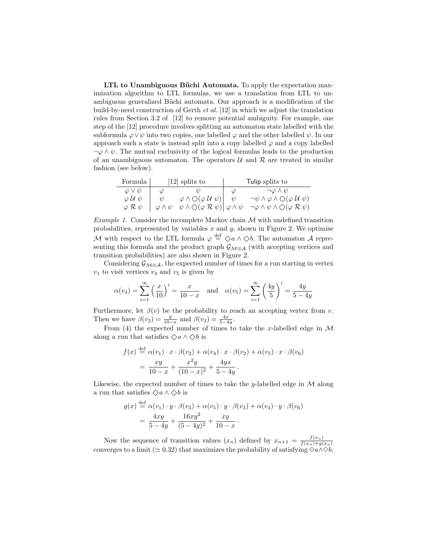LTL to Unambiguous Büchi Automata. To apply the expectation maximization algorithm to LTL formulas, we use a translation from LTL to unambiguous generalized Büchi automata. Our approach is a modification of the build-by-need construction of Gerth et al. [12] in which we adjust the translation rules from Section 3.2 of [12] to remove potential ambiguity. For example, one step of the [12] procedure involves splitting an automaton state labelled with the subformula  $\varphi \vee \psi$  into two copies, one labelled  $\varphi$  and the other labelled  $\psi$ . In our approach such a state is instead split into a copy labelled  $\varphi$  and a copy labelled  $\neg \varphi \wedge \psi$ . The mutual exclusivity of the logical formulas leads to the production of an unambiguous automaton. The operators  $U$  and  $R$  are treated in similar fashion (see below).

| Formula                              |                       | $[12]$ splits to                                                      | Tulip splits to |                                                                                 |  |  |
|--------------------------------------|-----------------------|-----------------------------------------------------------------------|-----------------|---------------------------------------------------------------------------------|--|--|
| $\varphi \vee \psi$                  |                       |                                                                       |                 | $\neg \varphi \wedge \psi$                                                      |  |  |
| $\varphi \mathcal{U} \psi$           | $\psi$                | $\varphi \wedge \bigcirc (\varphi \mathcal{U} \psi)$                  | $\psi$          | $\neg \psi \wedge \varphi \wedge \bigcirc (\varphi \mathcal{U} \psi)$           |  |  |
| $\varphi \mathrel{\mathcal{R}} \psi$ | $\varphi \wedge \psi$ | $\psi \wedge \bigcirc (\varphi \mathcal{R} \psi) \varphi \wedge \psi$ |                 | $\neg \varphi \wedge \psi \wedge \bigcirc (\varphi \mathrel{\mathcal{R}} \psi)$ |  |  |

*Example 1.* Consider the incomplete Markov chain  $M$  with undefined transition probabilities, represented by variables  $x$  and  $y$ , shown in Figure 2. We optimise M with respect to the LTL formula  $\varphi \stackrel{\text{def}}{=} \Diamond a \land \Diamond b$ . The automaton A representing this formula and the product graph  $\mathcal{G}_{\mathcal{M}\otimes\mathcal{A}}$  (with accepting vertices and transition probabilities) are also shown in Figure 2.

Considering  $\mathcal{G}_{\mathcal{M}\otimes\mathcal{A}}$ , the expected number of times for a run starting in vertex  $v_1$  to visit vertices  $v_4$  and  $v_5$  is given by

$$
\alpha(v_4) = \sum_{i=1}^{\infty} \left(\frac{x}{10}\right)^i = \frac{x}{10-x}
$$
 and  $\alpha(v_5) = \sum_{i=1}^{\infty} \left(\frac{4y}{5}\right)^i = \frac{4y}{5-4y}$ 

Furthermore, let  $\beta(v)$  be the probability to reach an accepting vertex from v. Then we have  $\beta(v_2) = \frac{y}{10-x}$  and  $\beta(v_3) = \frac{4x}{5-4y}$ .

From (4) the expected number of times to take the x-labelled edge in  $\mathcal M$ along a run that satisfies  $\Diamond a \land \Diamond b$  is

$$
f(x) \stackrel{\text{def}}{=} \alpha(v_1) \cdot x \cdot \beta(v_2) + \alpha(v_4) \cdot x \cdot \beta(v_2) + \alpha(v_5) \cdot x \cdot \beta(v_6)
$$
  
= 
$$
\frac{xy}{10 - x} + \frac{x^2y}{(10 - x)^2} + \frac{4yx}{5 - 4y}.
$$

Likewise, the expected number of times to take the y-labelled edge in  $\mathcal M$  along a run that satisfies  $\Diamond a \land \Diamond b$  is

$$
g(x) \stackrel{\text{def}}{=} \alpha(v_1) \cdot y \cdot \beta(v_3) + \alpha(v_5) \cdot y \cdot \beta(v_3) + \alpha(v_4) \cdot y \cdot \beta(v_6)
$$
  
= 
$$
\frac{4xy}{5-4y} + \frac{16xy^2}{(5-4y)^2} + \frac{xy}{10-x}.
$$

Now the sequence of transition values  $(x_n)$  defined by  $x_{n+1} = \frac{f(x_n)}{f(x_n)+q(x_n)}$  $f(x_n)+g(x_n)$ converges to a limit ( $\approx 0.32$ ) that maximizes the probability of satisfying  $\diamond a \land \diamond b$ .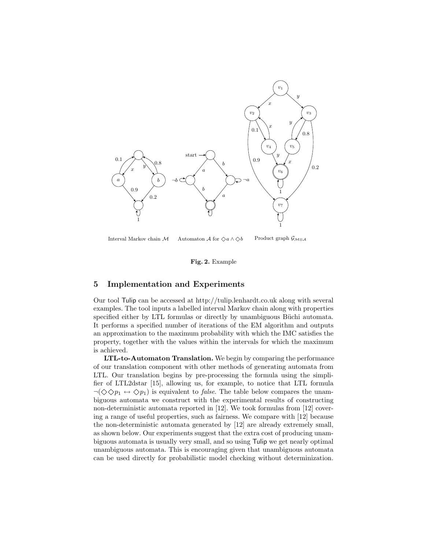

Interval Markov chain M Automaton A for  $\diamondsuit a \wedge \diamondsuit b$ Product graph  $\mathcal{G}_{\mathcal{M}\otimes\mathcal{A}}$ 

Fig. 2. Example

# 5 Implementation and Experiments

Our tool Tulip can be accessed at http://tulip.lenhardt.co.uk along with several examples. The tool inputs a labelled interval Markov chain along with properties specified either by LTL formulas or directly by unambiguous Büchi automata. It performs a specified number of iterations of the EM algorithm and outputs an approximation to the maximum probability with which the IMC satisfies the property, together with the values within the intervals for which the maximum is achieved.

LTL-to-Automaton Translation. We begin by comparing the performance of our translation component with other methods of generating automata from LTL. Our translation begins by pre-processing the formula using the simplifier of LTL2dstar [15], allowing us, for example, to notice that LTL formula  $\neg(\Diamond \Diamond p_1 \leftrightarrow \Diamond p_1)$  is equivalent to *false*. The table below compares the unambiguous automata we construct with the experimental results of constructing non-deterministic automata reported in [12]. We took formulas from [12] covering a range of useful properties, such as fairness. We compare with [12] because the non-deterministic automata generated by [12] are already extremely small, as shown below. Our experiments suggest that the extra cost of producing unambiguous automata is usually very small, and so using Tulip we get nearly optimal unambiguous automata. This is encouraging given that unambiguous automata can be used directly for probabilistic model checking without determinization.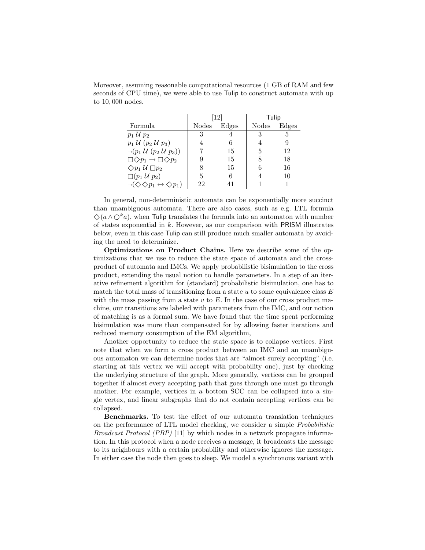Moreover, assuming reasonable computational resources (1 GB of RAM and few seconds of CPU time), we were able to use Tulip to construct automata with up to 10, 000 nodes.

|                                                   |              | 12    | Tulip        |       |  |  |
|---------------------------------------------------|--------------|-------|--------------|-------|--|--|
| Formula                                           | <b>Nodes</b> | Edges | <b>Nodes</b> | Edges |  |  |
| $p_1 \mathcal{U} p_2$                             | 3            |       | 3            | 5     |  |  |
| $p_1 \mathcal{U}$ $(p_2 \mathcal{U} p_3)$         |              |       |              | 9     |  |  |
| $\neg (p_1 \mathcal{U} (p_2 \mathcal{U} p_3))$    |              | 15    | 5            | 12    |  |  |
| $\Box \Diamond p_1 \rightarrow \Box \Diamond p_2$ | 9            | 15    | 8            | 18    |  |  |
| $\Diamond p_1 \mathcal{U} \Box p_2$               | 8            | 15    |              | 16    |  |  |
| $\Box (p_1 \mathcal{U} p_2)$                      | 5            |       |              | 10    |  |  |
| $\Diamond p_1 \leftrightarrow \Diamond p_1$       | 22           |       |              |       |  |  |

In general, non-deterministic automata can be exponentially more succinct than unambiguous automata. There are also cases, such as e.g. LTL formula  $\Diamond(a \wedge \bigcirc^k a)$ , when Tulip translates the formula into an automaton with number of states exponential in  $k$ . However, as our comparison with PRISM illustrates below, even in this case Tulip can still produce much smaller automata by avoiding the need to determinize.

Optimizations on Product Chains. Here we describe some of the optimizations that we use to reduce the state space of automata and the crossproduct of automata and IMCs. We apply probabilistic bisimulation to the cross product, extending the usual notion to handle parameters. In a step of an iterative refinement algorithm for (standard) probabilistic bisimulation, one has to match the total mass of transitioning from a state  $u$  to some equivalence class  $E$ with the mass passing from a state  $v$  to  $E$ . In the case of our cross product machine, our transitions are labeled with parameters from the IMC, and our notion of matching is as a formal sum. We have found that the time spent performing bisimulation was more than compensated for by allowing faster iterations and reduced memory consumption of the EM algorithm,

Another opportunity to reduce the state space is to collapse vertices. First note that when we form a cross product between an IMC and an unambiguous automaton we can determine nodes that are "almost surely accepting" (i.e. starting at this vertex we will accept with probability one), just by checking the underlying structure of the graph. More generally, vertices can be grouped together if almost every accepting path that goes through one must go through another. For example, vertices in a bottom SCC can be collapsed into a single vertex, and linear subgraphs that do not contain accepting vertices can be collapsed.

Benchmarks. To test the effect of our automata translation techniques on the performance of LTL model checking, we consider a simple Probabilistic Broadcast Protocol (PBP) [11] by which nodes in a network propagate information. In this protocol when a node receives a message, it broadcasts the message to its neighbours with a certain probability and otherwise ignores the message. In either case the node then goes to sleep. We model a synchronous variant with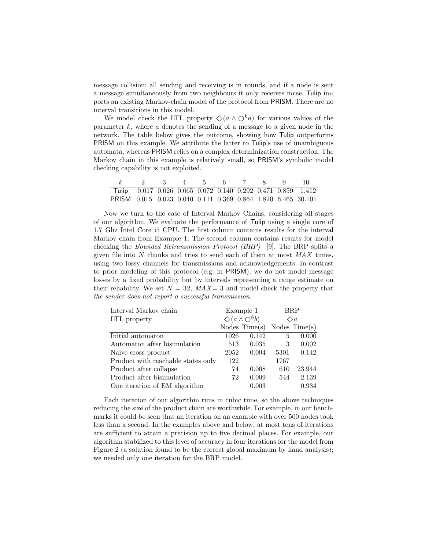message collision: all sending and receiving is in rounds, and if a node is sent a message simultaneously from two neighbours it only receives noise. Tulip imports an existing Markov-chain model of the protocol from PRISM. There are no interval transitions in this model.

We model check the LTL property  $\Diamond(a \wedge \bigcirc^k a)$  for various values of the parameter  $k$ , where  $\alpha$  denotes the sending of a message to a given node in the network. The table below gives the outcome, showing how Tulip outperforms PRISM on this example. We attribute the latter to Tulip's use of unambiguous automata, whereas PRISM relies on a complex determinization construction. The Markov chain in this example is relatively small, so PRISM's symbolic model checking capability is not exploited.

|                                                              | $k = 2$ 3 4 5 6 7 8 9 |  |  |  |  |
|--------------------------------------------------------------|-----------------------|--|--|--|--|
| Tulip 0.017 0.026 0.065 0.072 0.140 0.292 0.471 0.859 1.412  |                       |  |  |  |  |
| PRISM 0.015 0.023 0.040 0.111 0.369 0.864 1.820 6.465 30.101 |                       |  |  |  |  |

Now we turn to the case of Interval Markov Chains, considering all stages of our algorithm. We evaluate the performance of Tulip using a single core of 1.7 Ghz Intel Core i5 CPU. The first column contains results for the interval Markov chain from Example 1. The second column contains results for model checking the Bounded Retransmission Protocol (BRP) [9]. The BRP splits a given file into  $N$  chunks and tries to send each of them at most  $MAX$  times, using two lossy channels for transmissions and acknowledgements. In contrast to prior modeling of this protocol (e.g. in PRISM), we do not model message losses by a fixed probability but by intervals representing a range estimate on their reliability. We set  $N = 32$ ,  $MAX = 3$  and model check the property that the sender does not report a successful transmission.

| Interval Markov chain              |      | Example 1                          | BRP          |        |  |
|------------------------------------|------|------------------------------------|--------------|--------|--|
| LTL property                       |      | $\diamondsuit(a\wedge\bigcirc^8b)$ | $\Diamond a$ |        |  |
|                                    |      | Nodes $Time(s)$ Nodes $Time(s)$    |              |        |  |
| Initial automaton                  | 1026 | 0.142                              | 5            | 0.000  |  |
| Automaton after bisimulation       | 513  | 0.035                              | 3            | 0.002  |  |
| Naive cross product                | 2052 | 0.004                              | 5301         | 0.142  |  |
| Product with reachable states only | 122  |                                    | 1767         |        |  |
| Product after collapse             | 74   | 0.008                              | 610          | 23.944 |  |
| Product after bisimulation         | 72   | 0.009                              | 544          | 2.139  |  |
| One iteration of EM algorithm      |      | 0.003                              |              | 0.934  |  |

Each iteration of our algorithm runs in cubic time, so the above techniques reducing the size of the product chain are worthwhile. For example, in our benchmarks it could be seen that an iteration on an example with over 500 nodes took less than a second. In the examples above and below, at most tens of iterations are sufficient to attain a precision up to five decimal places. For example, our algorithm stabilized to this level of accuracy in four iterations for the model from Figure 2 (a solution found to be the correct global maximum by hand analysis); we needed only one iteration for the BRP model.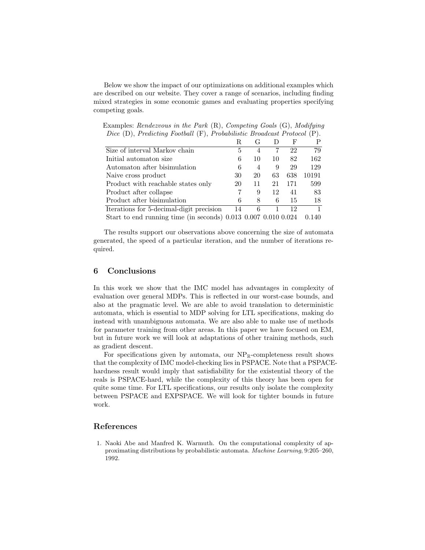Below we show the impact of our optimizations on additional examples which are described on our website. They cover a range of scenarios, including finding mixed strategies in some economic games and evaluating properties specifying competing goals.

| R  | G              |    | F   |                                                                        |
|----|----------------|----|-----|------------------------------------------------------------------------|
| 5  | 4              |    | 22  | 79                                                                     |
| 6  | 10             | 10 | 82  | 162                                                                    |
| 6  | $\overline{4}$ | 9  | 29  | 129                                                                    |
| 30 | 20             | 63 | 638 | 10191                                                                  |
| 20 | 11             | 21 | 171 | 599                                                                    |
| 7  | 9              | 12 | 41  | 83                                                                     |
| 6  | 8              | 6  | 15  | 18                                                                     |
| 14 | 6              |    | 12  |                                                                        |
|    |                |    |     | 0.140                                                                  |
|    |                |    |     | Start to end running time (in seconds) $0.013$ $0.007$ $0.010$ $0.024$ |

Examples: Rendezvous in the Park (R), Competing Goals (G), Modifying Dice (D), Predicting Football (F), Probabilistic Broadcast Protocol (P).

The results support our observations above concerning the size of automata generated, the speed of a particular iteration, and the number of iterations required.

# 6 Conclusions

In this work we show that the IMC model has advantages in complexity of evaluation over general MDPs. This is reflected in our worst-case bounds, and also at the pragmatic level. We are able to avoid translation to deterministic automata, which is essential to MDP solving for LTL specifications, making do instead with unambiguous automata. We are also able to make use of methods for parameter training from other areas. In this paper we have focused on EM, but in future work we will look at adaptations of other training methods, such as gradient descent.

For specifications given by automata, our  $NP_{\mathbb{R}}$ -completeness result shows that the complexity of IMC model-checking lies in PSPACE. Note that a PSPACEhardness result would imply that satisfiability for the existential theory of the reals is PSPACE-hard, while the complexity of this theory has been open for quite some time. For LTL specifications, our results only isolate the complexity between PSPACE and EXPSPACE. We will look for tighter bounds in future work.

### References

1. Naoki Abe and Manfred K. Warmuth. On the computational complexity of approximating distributions by probabilistic automata. Machine Learning, 9:205–260, 1992.